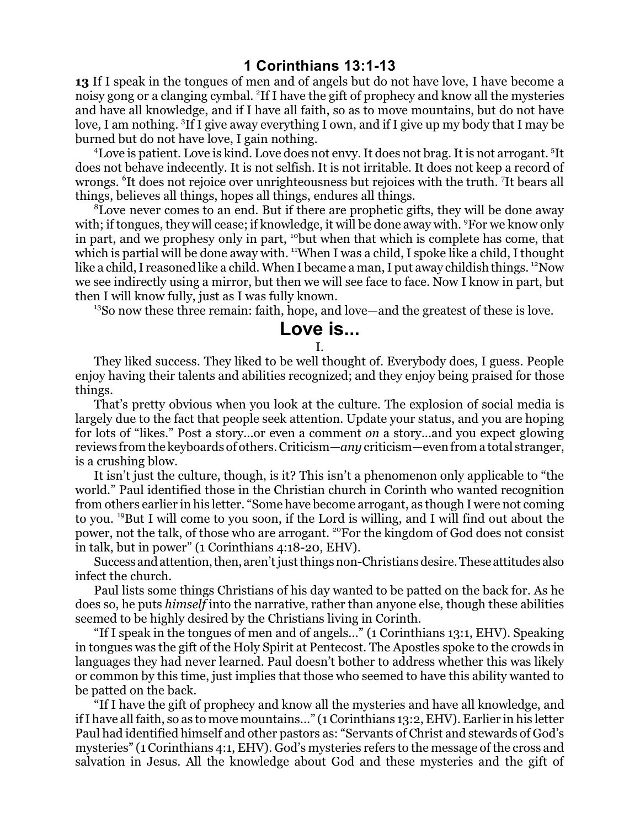## **1 Corinthians 13:1-13**

**13** If I speak in the tongues of men and of angels but do not have love, I have become a noisy gong or a clanging cymbal. <sup>2</sup> If I have the gift of prophecy and know all the mysteries and have all knowledge, and if I have all faith, so as to move mountains, but do not have love, I am nothing. <sup>3</sup>If I give away everything I own, and if I give up my body that I may be burned but do not have love, I gain nothing.

<sup>4</sup>Love is patient. Love is kind. Love does not envy. It does not brag. It is not arrogant. <sup>5</sup>It does not behave indecently. It is not selfish. It is not irritable. It does not keep a record of wrongs. <sup>6</sup> It does not rejoice over unrighteousness but rejoices with the truth. <sup>7</sup> It bears all things, believes all things, hopes all things, endures all things.

<sup>8</sup>Love never comes to an end. But if there are prophetic gifts, they will be done away with; if tongues, they will cease; if knowledge, it will be done away with. <sup>9</sup>For we know only in part, and we prophesy only in part, <sup>10</sup>but when that which is complete has come, that which is partial will be done away with. <sup>11</sup>When I was a child, I spoke like a child, I thought like a child, I reasoned like a child. When I became a man, I put away childish things. <sup>12</sup>Now we see indirectly using a mirror, but then we will see face to face. Now I know in part, but then I will know fully, just as I was fully known.

<sup>13</sup>So now these three remain: faith, hope, and love—and the greatest of these is love.

## **Love is...**

I.

They liked success. They liked to be well thought of. Everybody does, I guess. People enjoy having their talents and abilities recognized; and they enjoy being praised for those things.

That's pretty obvious when you look at the culture. The explosion of social media is largely due to the fact that people seek attention. Update your status, and you are hoping for lots of "likes." Post a story...or even a comment *on* a story...and you expect glowing reviews from the keyboards of others. Criticism—*any* criticism—even from a total stranger, is a crushing blow.

It isn't just the culture, though, is it? This isn't a phenomenon only applicable to "the world." Paul identified those in the Christian church in Corinth who wanted recognition from others earlier in his letter. "Some have become arrogant, as though I were not coming to you. <sup>19</sup>But I will come to you soon, if the Lord is willing, and I will find out about the power, not the talk, of those who are arrogant. <sup>20</sup>For the kingdom of God does not consist in talk, but in power" (1 Corinthians 4:18-20, EHV).

Success and attention, then, aren't just things non-Christians desire. These attitudes also infect the church.

Paul lists some things Christians of his day wanted to be patted on the back for. As he does so, he puts *himself* into the narrative, rather than anyone else, though these abilities seemed to be highly desired by the Christians living in Corinth.

"If I speak in the tongues of men and of angels..." (1 Corinthians 13:1, EHV). Speaking in tongues was the gift of the Holy Spirit at Pentecost. The Apostles spoke to the crowds in languages they had never learned. Paul doesn't bother to address whether this was likely or common by this time, just implies that those who seemed to have this ability wanted to be patted on the back.

"If I have the gift of prophecy and know all the mysteries and have all knowledge, and ifI have all faith, so as to move mountains..." (1 Corinthians 13:2, EHV). Earlier in his letter Paul had identified himself and other pastors as: "Servants of Christ and stewards of God's mysteries" (1 Corinthians 4:1, EHV). God's mysteries refers to the message of the cross and salvation in Jesus. All the knowledge about God and these mysteries and the gift of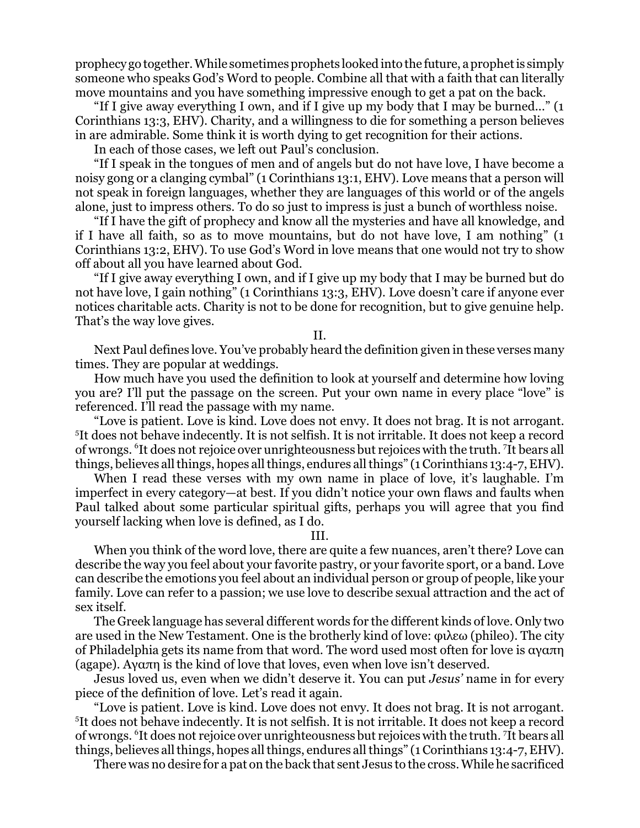prophecy go together. While sometimes prophets looked into the future, aprophetis simply someone who speaks God's Word to people. Combine all that with a faith that can literally move mountains and you have something impressive enough to get a pat on the back.

"If I give away everything I own, and if I give up my body that I may be burned..." (1 Corinthians 13:3, EHV). Charity, and a willingness to die for something a person believes in are admirable. Some think it is worth dying to get recognition for their actions.

In each of those cases, we left out Paul's conclusion.

"If I speak in the tongues of men and of angels but do not have love, I have become a noisy gong or a clanging cymbal" (1 Corinthians 13:1, EHV). Love means that a person will not speak in foreign languages, whether they are languages of this world or of the angels alone, just to impress others. To do so just to impress is just a bunch of worthless noise.

"If I have the gift of prophecy and know all the mysteries and have all knowledge, and if I have all faith, so as to move mountains, but do not have love, I am nothing" (1 Corinthians 13:2, EHV). To use God's Word in love means that one would not try to show off about all you have learned about God.

"If I give away everything I own, and if I give up my body that I may be burned but do not have love, I gain nothing" (1 Corinthians 13:3, EHV). Love doesn't care if anyone ever notices charitable acts. Charity is not to be done for recognition, but to give genuine help. That's the way love gives.

## II.

Next Paul defines love. You've probably heard the definition given in these verses many times. They are popular at weddings.

How much have you used the definition to look at yourself and determine how loving you are? I'll put the passage on the screen. Put your own name in every place "love" is referenced. I'll read the passage with my name.

"Love is patient. Love is kind. Love does not envy. It does not brag. It is not arrogant. 5 It does not behave indecently. It is not selfish. It is not irritable. It does not keep a record of wrongs. <sup>6</sup> It does not rejoice over unrighteousness but rejoices with the truth. <sup>7</sup> It bears all things, believes all things, hopes all things, endures all things" (1 Corinthians 13:4-7, EHV).

When I read these verses with my own name in place of love, it's laughable. I'm imperfect in every category—at best. If you didn't notice your own flaws and faults when Paul talked about some particular spiritual gifts, perhaps you will agree that you find yourself lacking when love is defined, as I do.

## III.

When you think of the word love, there are quite a few nuances, aren't there? Love can describe the way you feel about your favorite pastry, or your favorite sport, or a band. Love can describe the emotions you feel about an individual person or group of people, like your family. Love can refer to a passion; we use love to describe sexual attraction and the act of sex itself.

The Greek language has several different words for the different kinds of love. Only two are used in the New Testament. One is the brotherly kind of love:  $\varphi\lambda\epsilon\omega$  (phileo). The city of Philadelphia gets its name from that word. The word used most often for love is  $\alpha$  $\alpha$  $\pi$ (agape). Aya $\pi$ n is the kind of love that loves, even when love isn't deserved.

Jesus loved us, even when we didn't deserve it. You can put *Jesus'* name in for every piece of the definition of love. Let's read it again.

"Love is patient. Love is kind. Love does not envy. It does not brag. It is not arrogant. 5 It does not behave indecently. It is not selfish. It is not irritable. It does not keep a record of wrongs. <sup>6</sup> It does not rejoice over unrighteousness but rejoices with the truth. <sup>7</sup> It bears all things, believes all things, hopes all things, endures all things" (1 Corinthians 13:4-7, EHV).

There was no desire for a pat on the back that sent Jesus to the cross. While he sacrificed